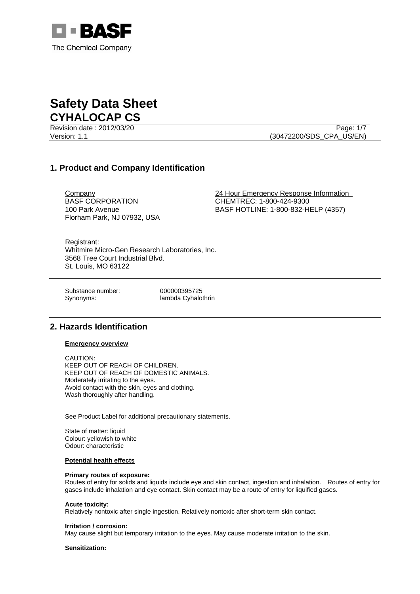

Revision date : 2012/03/20 Page: 1/7 Version: 1.1 (30472200/SDS\_CPA\_US/EN)

# **1. Product and Company Identification**

BASF CORPORATION 100 Park Avenue Florham Park, NJ 07932, USA

Company 24 Hour Emergency Response Information CHEMTREC: 1-800-424-9300 BASF HOTLINE: 1-800-832-HELP (4357)

Registrant: Whitmire Micro-Gen Research Laboratories, Inc. 3568 Tree Court Industrial Blvd. St. Louis, MO 63122

Substance number: 000000395725

Synonyms: lambda Cyhalothrin

# **2. Hazards Identification**

**Emergency overview**

CAUTION: KEEP OUT OF REACH OF CHILDREN. KEEP OUT OF REACH OF DOMESTIC ANIMALS. Moderately irritating to the eyes. Avoid contact with the skin, eyes and clothing. Wash thoroughly after handling.

See Product Label for additional precautionary statements.

State of matter: liquid Colour: yellowish to white Odour: characteristic

## **Potential health effects**

#### **Primary routes of exposure:**

Routes of entry for solids and liquids include eye and skin contact, ingestion and inhalation. Routes of entry for gases include inhalation and eye contact. Skin contact may be a route of entry for liquified gases.

#### **Acute toxicity:**

Relatively nontoxic after single ingestion. Relatively nontoxic after short-term skin contact.

#### **Irritation / corrosion:**

May cause slight but temporary irritation to the eyes. May cause moderate irritation to the skin.

### **Sensitization:**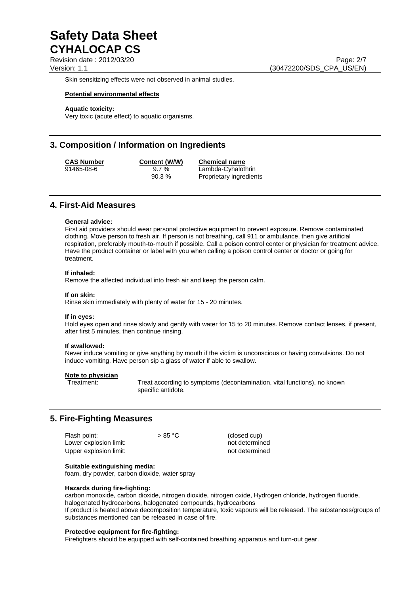Revision date : 2012/03/20 Page: 2/7

Version: 1.1 (30472200/SDS\_CPA\_US/EN)

Skin sensitizing effects were not observed in animal studies.

# **Potential environmental effects**

# **Aquatic toxicity:**

Very toxic (acute effect) to aquatic organisms.

# **3. Composition / Information on Ingredients**

**CAS Number Content (W/W) Chemical name**

91465-08-6 9.7 % Lambda-Cyhalothrin 90.3 % Proprietary ingredients

# **4. First-Aid Measures**

## **General advice:**

First aid providers should wear personal protective equipment to prevent exposure. Remove contaminated clothing. Move person to fresh air. If person is not breathing, call 911 or ambulance, then give artificial respiration, preferably mouth-to-mouth if possible. Call a poison control center or physician for treatment advice. Have the product container or label with you when calling a poison control center or doctor or going for treatment.

## **If inhaled:**

Remove the affected individual into fresh air and keep the person calm.

#### **If on skin:**

Rinse skin immediately with plenty of water for 15 - 20 minutes.

## **If in eyes:**

Hold eyes open and rinse slowly and gently with water for 15 to 20 minutes. Remove contact lenses, if present, after first 5 minutes, then continue rinsing.

## **If swallowed:**

Never induce vomiting or give anything by mouth if the victim is unconscious or having convulsions. Do not induce vomiting. Have person sip a glass of water if able to swallow.

## **Note to physician**

Treatment: Treat according to symptoms (decontamination, vital functions), no known specific antidote.

# **5. Fire-Fighting Measures**

| Flash point:           | $>85\text{ °C}$ | (closed cup)   |
|------------------------|-----------------|----------------|
| Lower explosion limit: |                 | not determined |
| Upper explosion limit: |                 | not determined |

# **Suitable extinguishing media:**

foam, dry powder, carbon dioxide, water spray

## **Hazards during fire-fighting:**

carbon monoxide, carbon dioxide, nitrogen dioxide, nitrogen oxide, Hydrogen chloride, hydrogen fluoride, halogenated hydrocarbons, halogenated compounds, hydrocarbons If product is heated above decomposition temperature, toxic vapours will be released. The substances/groups of substances mentioned can be released in case of fire.

## **Protective equipment for fire-fighting:**

Firefighters should be equipped with self-contained breathing apparatus and turn-out gear.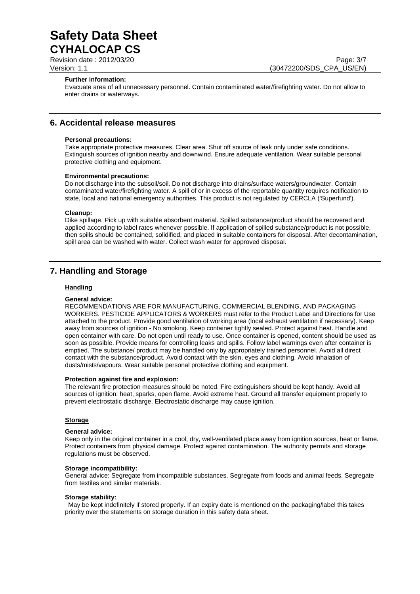Revision date : 2012/03/20 Page: 3/7

Version: 1.1 (30472200/SDS\_CPA\_US/EN)

### **Further information:**

Evacuate area of all unnecessary personnel. Contain contaminated water/firefighting water. Do not allow to enter drains or waterways.

# **6. Accidental release measures**

#### **Personal precautions:**

Take appropriate protective measures. Clear area. Shut off source of leak only under safe conditions. Extinguish sources of ignition nearby and downwind. Ensure adequate ventilation. Wear suitable personal protective clothing and equipment.

#### **Environmental precautions:**

Do not discharge into the subsoil/soil. Do not discharge into drains/surface waters/groundwater. Contain contaminated water/firefighting water. A spill of or in excess of the reportable quantity requires notification to state, local and national emergency authorities. This product is not regulated by CERCLA ('Superfund').

# **Cleanup:**

Dike spillage. Pick up with suitable absorbent material. Spilled substance/product should be recovered and applied according to label rates whenever possible. If application of spilled substance/product is not possible, then spills should be contained, solidified, and placed in suitable containers for disposal. After decontamination, spill area can be washed with water. Collect wash water for approved disposal.

# **7. Handling and Storage**

# **Handling**

### **General advice:**

RECOMMENDATIONS ARE FOR MANUFACTURING, COMMERCIAL BLENDING, AND PACKAGING WORKERS. PESTICIDE APPLICATORS & WORKERS must refer to the Product Label and Directions for Use attached to the product. Provide good ventilation of working area (local exhaust ventilation if necessary). Keep away from sources of ignition - No smoking. Keep container tightly sealed. Protect against heat. Handle and open container with care. Do not open until ready to use. Once container is opened, content should be used as soon as possible. Provide means for controlling leaks and spills. Follow label warnings even after container is emptied. The substance/ product may be handled only by appropriately trained personnel. Avoid all direct contact with the substance/product. Avoid contact with the skin, eyes and clothing. Avoid inhalation of dusts/mists/vapours. Wear suitable personal protective clothing and equipment.

#### **Protection against fire and explosion:**

The relevant fire protection measures should be noted. Fire extinguishers should be kept handy. Avoid all sources of ignition: heat, sparks, open flame. Avoid extreme heat. Ground all transfer equipment properly to prevent electrostatic discharge. Electrostatic discharge may cause ignition.

#### **Storage**

#### **General advice:**

Keep only in the original container in a cool, dry, well-ventilated place away from ignition sources, heat or flame. Protect containers from physical damage. Protect against contamination. The authority permits and storage regulations must be observed.

#### **Storage incompatibility:**

General advice: Segregate from incompatible substances. Segregate from foods and animal feeds. Segregate from textiles and similar materials.

#### **Storage stability:**

 May be kept indefinitely if stored properly. If an expiry date is mentioned on the packaging/label this takes priority over the statements on storage duration in this safety data sheet.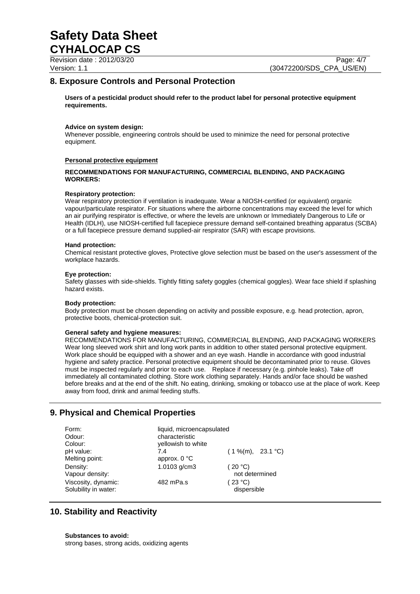Revision date : 2012/03/20 Page: 4/7

Version: 1.1 (30472200/SDS\_CPA\_US/EN)

# **8. Exposure Controls and Personal Protection**

**Users of a pesticidal product should refer to the product label for personal protective equipment requirements.** 

# **Advice on system design:**

Whenever possible, engineering controls should be used to minimize the need for personal protective equipment.

# **Personal protective equipment**

# **RECOMMENDATIONS FOR MANUFACTURING, COMMERCIAL BLENDING, AND PACKAGING WORKERS:**

## **Respiratory protection:**

Wear respiratory protection if ventilation is inadequate. Wear a NIOSH-certified (or equivalent) organic vapour/particulate respirator. For situations where the airborne concentrations may exceed the level for which an air purifying respirator is effective, or where the levels are unknown or Immediately Dangerous to Life or Health (IDLH), use NIOSH-certified full facepiece pressure demand self-contained breathing apparatus (SCBA) or a full facepiece pressure demand supplied-air respirator (SAR) with escape provisions.

#### **Hand protection:**

Chemical resistant protective gloves, Protective glove selection must be based on the user's assessment of the workplace hazards.

#### **Eye protection:**

Safety glasses with side-shields. Tightly fitting safety goggles (chemical goggles). Wear face shield if splashing hazard exists.

## **Body protection:**

Body protection must be chosen depending on activity and possible exposure, e.g. head protection, apron, protective boots, chemical-protection suit.

## **General safety and hygiene measures:**

RECOMMENDATIONS FOR MANUFACTURING, COMMERCIAL BLENDING, AND PACKAGING WORKERS Wear long sleeved work shirt and long work pants in addition to other stated personal protective equipment. Work place should be equipped with a shower and an eye wash. Handle in accordance with good industrial hygiene and safety practice. Personal protective equipment should be decontaminated prior to reuse. Gloves must be inspected regularly and prior to each use. Replace if necessary (e.g. pinhole leaks). Take off immediately all contaminated clothing. Store work clothing separately. Hands and/or face should be washed before breaks and at the end of the shift. No eating, drinking, smoking or tobacco use at the place of work. Keep away from food, drink and animal feeding stuffs.

# **9. Physical and Chemical Properties**

| Form:                | liquid, microencapsulated |                      |
|----------------------|---------------------------|----------------------|
| Odour:               | characteristic            |                      |
| Colour:              | yellowish to white        |                      |
| pH value:            | 7.4                       | $(1\%$ (m), 23.1 °C) |
| Melting point:       | approx. $0^{\circ}C$      |                      |
| Density:             | 1.0103 g/cm3              | (20 °C)              |
| Vapour density:      |                           | not determined       |
| Viscosity, dynamic:  | 482 mPa.s                 | (23 °C)              |
| Solubility in water: |                           | dispersible          |

# **10. Stability and Reactivity**

**Substances to avoid:** strong bases, strong acids, oxidizing agents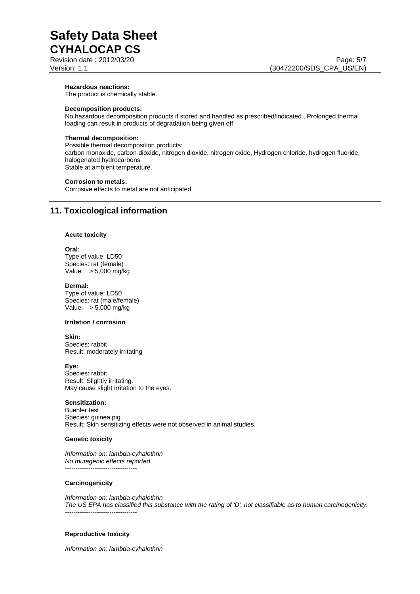Revision date : 2012/03/20 Page: 5/7

#### **Hazardous reactions:**

The product is chemically stable.

### **Decomposition products:**

No hazardous decomposition products if stored and handled as prescribed/indicated., Prolonged thermal loading can result in products of degradation being given off.

# **Thermal decomposition:**

Possible thermal decomposition products: carbon monoxide, carbon dioxide, nitrogen dioxide, nitrogen oxide, Hydrogen chloride, hydrogen fluoride, halogenated hydrocarbons Stable at ambient temperature.

#### **Corrosion to metals:**

Corrosive effects to metal are not anticipated.

# **11. Toxicological information**

## **Acute toxicity**

## **Oral:**

Type of value: LD50 Species: rat (female) Value: > 5,000 mg/kg

#### **Dermal:**

Type of value: LD50 Species: rat (male/female) Value: > 5,000 mg/kg

#### **Irritation / corrosion**

# **Skin:**

Species: rabbit Result: moderately irritating

## **Eye:**

Species: rabbit Result: Slightly irritating. May cause slight irritation to the eyes.

# **Sensitization:**

Buehler test Species: guinea pig Result: Skin sensitizing effects were not observed in animal studies.

#### **Genetic toxicity**

*Information on: lambda-cyhalothrin No mutagenic effects reported.*  ----------------------------------

## **Carcinogenicity**

*Information on: lambda-cyhalothrin The US EPA has classified this substance with the rating of 'D', not classifiable as to human carcinogenicity.*  ----------------------------------

## **Reproductive toxicity**

*Information on: lambda-cyhalothrin*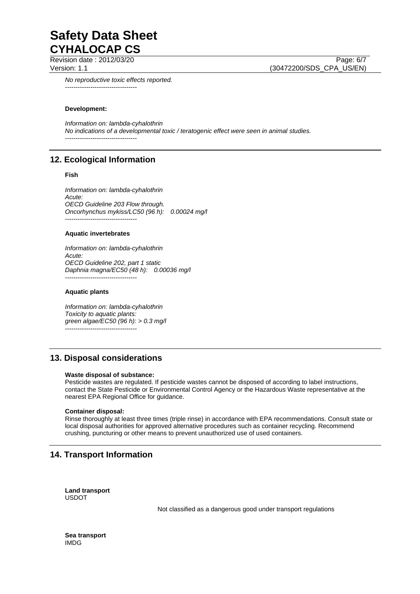Revision date : 2012/03/20

Version: 1.1 (30472200/SDS\_CPA\_US/EN)

*No reproductive toxic effects reported.*  ----------------------------------

# **Development:**

*Information on: lambda-cyhalothrin No indications of a developmental toxic / teratogenic effect were seen in animal studies.*  ----------------------------------

# **12. Ecological Information**

# **Fish**

*Information on: lambda-cyhalothrin Acute: OECD Guideline 203 Flow through. Oncorhynchus mykiss/LC50 (96 h): 0.00024 mg/l*  ----------------------------------

#### **Aquatic invertebrates**

*Information on: lambda-cyhalothrin Acute: OECD Guideline 202, part 1 static Daphnia magna/EC50 (48 h): 0.00036 mg/l*  ----------------------------------

#### **Aquatic plants**

*Information on: lambda-cyhalothrin Toxicity to aquatic plants: green algae/EC50 (96 h): > 0.3 mg/l*  ----------------------------------

# **13. Disposal considerations**

## **Waste disposal of substance:**

Pesticide wastes are regulated. If pesticide wastes cannot be disposed of according to label instructions, contact the State Pesticide or Environmental Control Agency or the Hazardous Waste representative at the nearest EPA Regional Office for guidance.

## **Container disposal:**

Rinse thoroughly at least three times (triple rinse) in accordance with EPA recommendations. Consult state or local disposal authorities for approved alternative procedures such as container recycling. Recommend crushing, puncturing or other means to prevent unauthorized use of used containers.

# **14. Transport Information**

**Land transport**  USDOT

Not classified as a dangerous good under transport regulations

**Sea transport**  IMDG